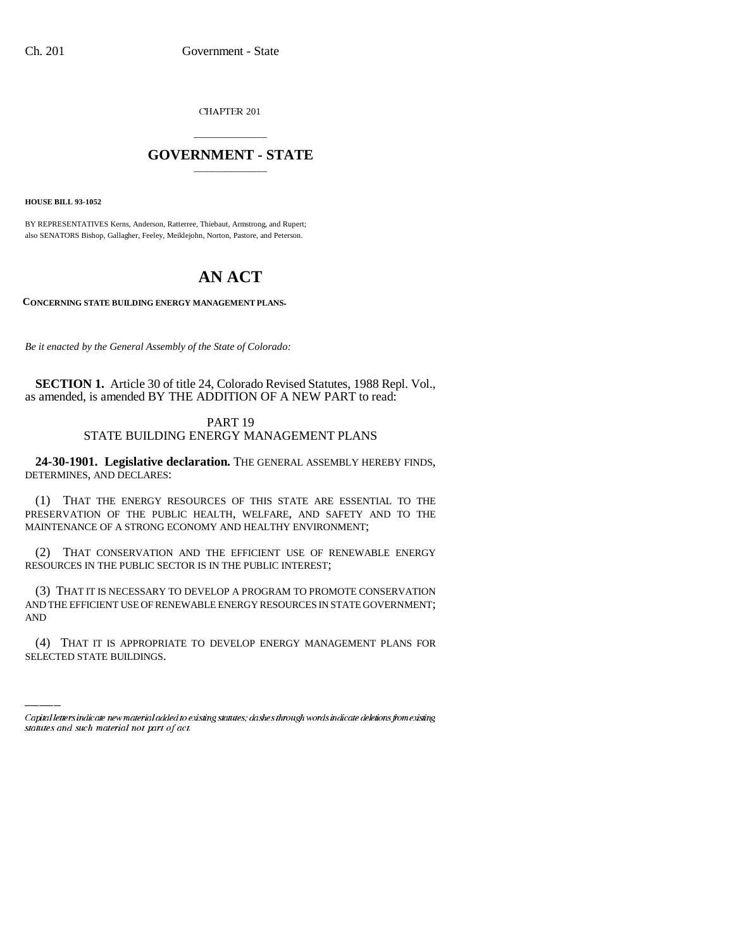CHAPTER 201

## \_\_\_\_\_\_\_\_\_\_\_\_\_\_\_ **GOVERNMENT - STATE** \_\_\_\_\_\_\_\_\_\_\_\_\_\_\_

**HOUSE BILL 93-1052**

BY REPRESENTATIVES Kerns, Anderson, Ratterree, Thiebaut, Armstrong, and Rupert; also SENATORS Bishop, Gallagher, Feeley, Meiklejohn, Norton, Pastore, and Peterson.

## **AN ACT**

**CONCERNING STATE BUILDING ENERGY MANAGEMENT PLANS.**

*Be it enacted by the General Assembly of the State of Colorado:*

**SECTION 1.** Article 30 of title 24, Colorado Revised Statutes, 1988 Repl. Vol., as amended, is amended BY THE ADDITION OF A NEW PART to read:

## PART 19 STATE BUILDING ENERGY MANAGEMENT PLANS

**24-30-1901. Legislative declaration.** THE GENERAL ASSEMBLY HEREBY FINDS, DETERMINES, AND DECLARES:

(1) THAT THE ENERGY RESOURCES OF THIS STATE ARE ESSENTIAL TO THE PRESERVATION OF THE PUBLIC HEALTH, WELFARE, AND SAFETY AND TO THE MAINTENANCE OF A STRONG ECONOMY AND HEALTHY ENVIRONMENT;

(2) THAT CONSERVATION AND THE EFFICIENT USE OF RENEWABLE ENERGY RESOURCES IN THE PUBLIC SECTOR IS IN THE PUBLIC INTEREST;

AND (3) THAT IT IS NECESSARY TO DEVELOP A PROGRAM TO PROMOTE CONSERVATION AND THE EFFICIENT USE OF RENEWABLE ENERGY RESOURCES IN STATE GOVERNMENT;

(4) THAT IT IS APPROPRIATE TO DEVELOP ENERGY MANAGEMENT PLANS FOR SELECTED STATE BUILDINGS.

Capital letters indicate new material added to existing statutes; dashes through words indicate deletions from existing statutes and such material not part of act.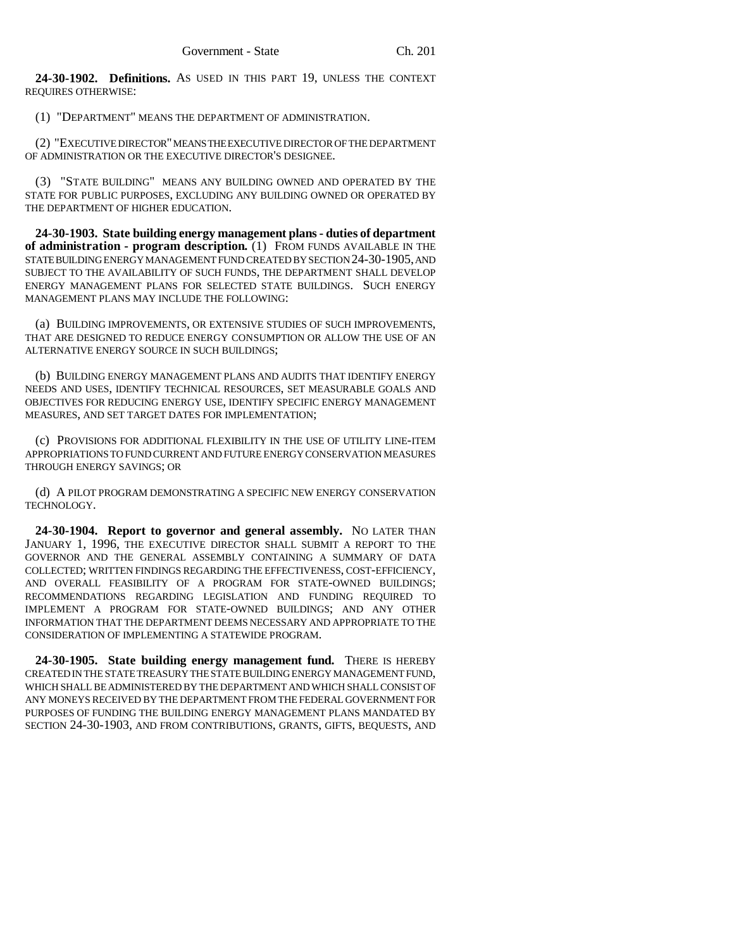**24-30-1902. Definitions.** AS USED IN THIS PART 19, UNLESS THE CONTEXT REQUIRES OTHERWISE:

(1) "DEPARTMENT" MEANS THE DEPARTMENT OF ADMINISTRATION.

(2) "EXECUTIVE DIRECTOR" MEANS THE EXECUTIVE DIRECTOR OF THE DEPARTMENT OF ADMINISTRATION OR THE EXECUTIVE DIRECTOR'S DESIGNEE.

(3) "STATE BUILDING" MEANS ANY BUILDING OWNED AND OPERATED BY THE STATE FOR PUBLIC PURPOSES, EXCLUDING ANY BUILDING OWNED OR OPERATED BY THE DEPARTMENT OF HIGHER EDUCATION.

**24-30-1903. State building energy management plans - duties of department of administration - program description.** (1) FROM FUNDS AVAILABLE IN THE STATE BUILDING ENERGY MANAGEMENT FUND CREATED BY SECTION 24-30-1905, AND SUBJECT TO THE AVAILABILITY OF SUCH FUNDS, THE DEPARTMENT SHALL DEVELOP ENERGY MANAGEMENT PLANS FOR SELECTED STATE BUILDINGS. SUCH ENERGY MANAGEMENT PLANS MAY INCLUDE THE FOLLOWING:

(a) BUILDING IMPROVEMENTS, OR EXTENSIVE STUDIES OF SUCH IMPROVEMENTS, THAT ARE DESIGNED TO REDUCE ENERGY CONSUMPTION OR ALLOW THE USE OF AN ALTERNATIVE ENERGY SOURCE IN SUCH BUILDINGS;

(b) BUILDING ENERGY MANAGEMENT PLANS AND AUDITS THAT IDENTIFY ENERGY NEEDS AND USES, IDENTIFY TECHNICAL RESOURCES, SET MEASURABLE GOALS AND OBJECTIVES FOR REDUCING ENERGY USE, IDENTIFY SPECIFIC ENERGY MANAGEMENT MEASURES, AND SET TARGET DATES FOR IMPLEMENTATION;

(c) PROVISIONS FOR ADDITIONAL FLEXIBILITY IN THE USE OF UTILITY LINE-ITEM APPROPRIATIONS TO FUND CURRENT AND FUTURE ENERGY CONSERVATION MEASURES THROUGH ENERGY SAVINGS; OR

(d) A PILOT PROGRAM DEMONSTRATING A SPECIFIC NEW ENERGY CONSERVATION TECHNOLOGY.

**24-30-1904. Report to governor and general assembly.** NO LATER THAN JANUARY 1, 1996, THE EXECUTIVE DIRECTOR SHALL SUBMIT A REPORT TO THE GOVERNOR AND THE GENERAL ASSEMBLY CONTAINING A SUMMARY OF DATA COLLECTED; WRITTEN FINDINGS REGARDING THE EFFECTIVENESS, COST-EFFICIENCY, AND OVERALL FEASIBILITY OF A PROGRAM FOR STATE-OWNED BUILDINGS; RECOMMENDATIONS REGARDING LEGISLATION AND FUNDING REQUIRED TO IMPLEMENT A PROGRAM FOR STATE-OWNED BUILDINGS; AND ANY OTHER INFORMATION THAT THE DEPARTMENT DEEMS NECESSARY AND APPROPRIATE TO THE CONSIDERATION OF IMPLEMENTING A STATEWIDE PROGRAM.

**24-30-1905. State building energy management fund.** THERE IS HEREBY CREATED IN THE STATE TREASURY THE STATE BUILDING ENERGY MANAGEMENT FUND, WHICH SHALL BE ADMINISTERED BY THE DEPARTMENT AND WHICH SHALL CONSIST OF ANY MONEYS RECEIVED BY THE DEPARTMENT FROM THE FEDERAL GOVERNMENT FOR PURPOSES OF FUNDING THE BUILDING ENERGY MANAGEMENT PLANS MANDATED BY SECTION 24-30-1903, AND FROM CONTRIBUTIONS, GRANTS, GIFTS, BEQUESTS, AND